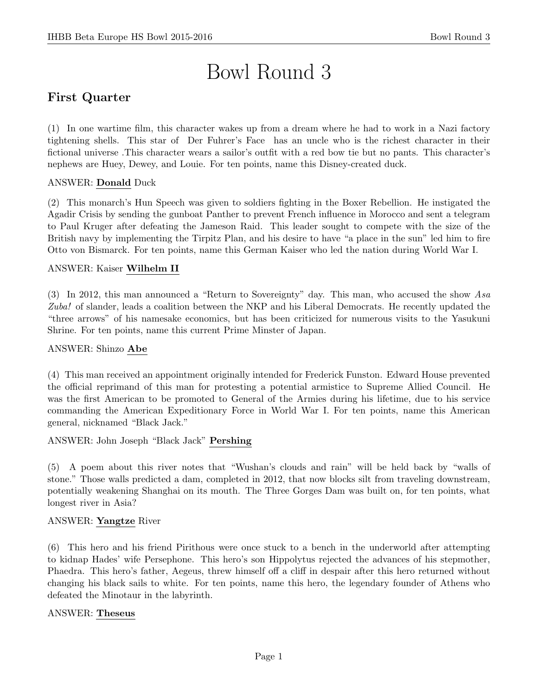# Bowl Round 3

# First Quarter

(1) In one wartime film, this character wakes up from a dream where he had to work in a Nazi factory tightening shells. This star of Der Fuhrer's Face has an uncle who is the richest character in their fictional universe .This character wears a sailor's outfit with a red bow tie but no pants. This character's nephews are Huey, Dewey, and Louie. For ten points, name this Disney-created duck.

## ANSWER: Donald Duck

(2) This monarch's Hun Speech was given to soldiers fighting in the Boxer Rebellion. He instigated the Agadir Crisis by sending the gunboat Panther to prevent French influence in Morocco and sent a telegram to Paul Kruger after defeating the Jameson Raid. This leader sought to compete with the size of the British navy by implementing the Tirpitz Plan, and his desire to have "a place in the sun" led him to fire Otto von Bismarck. For ten points, name this German Kaiser who led the nation during World War I.

## ANSWER: Kaiser Wilhelm II

(3) In 2012, this man announced a "Return to Sovereignty" day. This man, who accused the show Asa Zuba! of slander, leads a coalition between the NKP and his Liberal Democrats. He recently updated the "three arrows" of his namesake economics, but has been criticized for numerous visits to the Yasukuni Shrine. For ten points, name this current Prime Minster of Japan.

## ANSWER: Shinzo Abe

(4) This man received an appointment originally intended for Frederick Funston. Edward House prevented the official reprimand of this man for protesting a potential armistice to Supreme Allied Council. He was the first American to be promoted to General of the Armies during his lifetime, due to his service commanding the American Expeditionary Force in World War I. For ten points, name this American general, nicknamed "Black Jack."

ANSWER: John Joseph "Black Jack" Pershing

(5) A poem about this river notes that "Wushan's clouds and rain" will be held back by "walls of stone." Those walls predicted a dam, completed in 2012, that now blocks silt from traveling downstream, potentially weakening Shanghai on its mouth. The Three Gorges Dam was built on, for ten points, what longest river in Asia?

## ANSWER: Yangtze River

(6) This hero and his friend Pirithous were once stuck to a bench in the underworld after attempting to kidnap Hades' wife Persephone. This hero's son Hippolytus rejected the advances of his stepmother, Phaedra. This hero's father, Aegeus, threw himself off a cliff in despair after this hero returned without changing his black sails to white. For ten points, name this hero, the legendary founder of Athens who defeated the Minotaur in the labyrinth.

## ANSWER: Theseus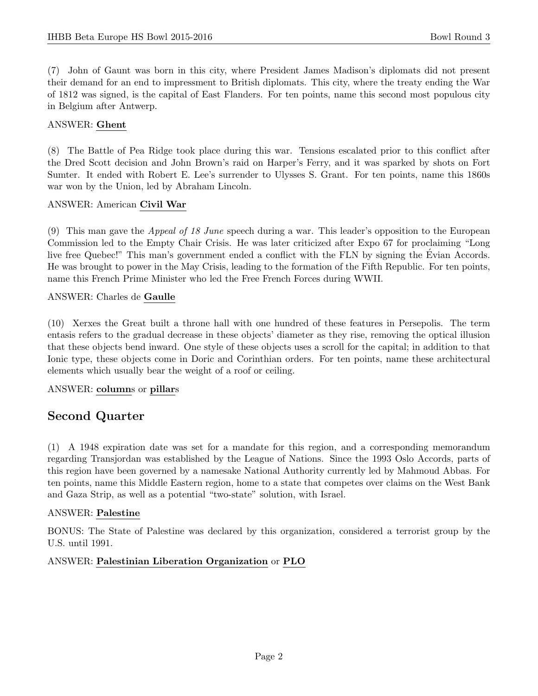(7) John of Gaunt was born in this city, where President James Madison's diplomats did not present their demand for an end to impressment to British diplomats. This city, where the treaty ending the War of 1812 was signed, is the capital of East Flanders. For ten points, name this second most populous city in Belgium after Antwerp.

#### ANSWER: Ghent

(8) The Battle of Pea Ridge took place during this war. Tensions escalated prior to this conflict after the Dred Scott decision and John Brown's raid on Harper's Ferry, and it was sparked by shots on Fort Sumter. It ended with Robert E. Lee's surrender to Ulysses S. Grant. For ten points, name this 1860s war won by the Union, led by Abraham Lincoln.

#### ANSWER: American Civil War

(9) This man gave the Appeal of 18 June speech during a war. This leader's opposition to the European Commission led to the Empty Chair Crisis. He was later criticized after Expo 67 for proclaiming "Long live free Quebec!" This man's government ended a conflict with the FLN by signing the Evian Accords. He was brought to power in the May Crisis, leading to the formation of the Fifth Republic. For ten points, name this French Prime Minister who led the Free French Forces during WWII.

#### ANSWER: Charles de Gaulle

(10) Xerxes the Great built a throne hall with one hundred of these features in Persepolis. The term entasis refers to the gradual decrease in these objects' diameter as they rise, removing the optical illusion that these objects bend inward. One style of these objects uses a scroll for the capital; in addition to that Ionic type, these objects come in Doric and Corinthian orders. For ten points, name these architectural elements which usually bear the weight of a roof or ceiling.

## ANSWER: columns or pillars

## Second Quarter

(1) A 1948 expiration date was set for a mandate for this region, and a corresponding memorandum regarding Transjordan was established by the League of Nations. Since the 1993 Oslo Accords, parts of this region have been governed by a namesake National Authority currently led by Mahmoud Abbas. For ten points, name this Middle Eastern region, home to a state that competes over claims on the West Bank and Gaza Strip, as well as a potential "two-state" solution, with Israel.

## ANSWER: Palestine

BONUS: The State of Palestine was declared by this organization, considered a terrorist group by the U.S. until 1991.

## ANSWER: Palestinian Liberation Organization or PLO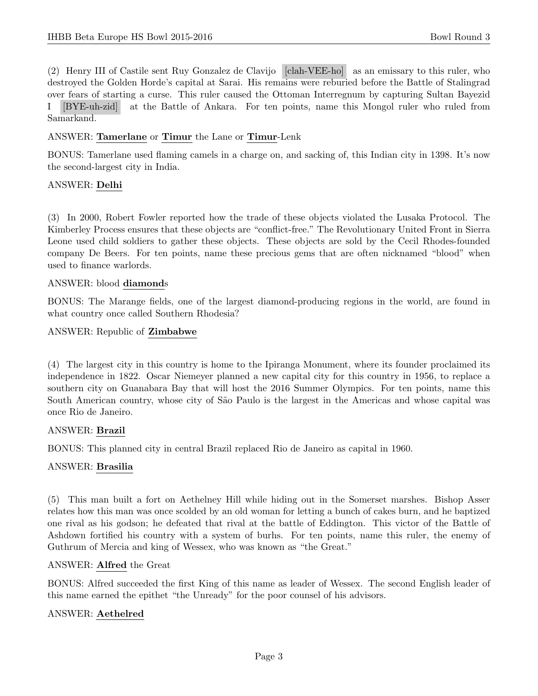(2) Henry III of Castile sent Ruy Gonzalez de Clavijo [clah-VEE-ho] as an emissary to this ruler, who destroyed the Golden Horde's capital at Sarai. His remains were reburied before the Battle of Stalingrad over fears of starting a curse. This ruler caused the Ottoman Interregnum by capturing Sultan Bayezid I [BYE-uh-zid] at the Battle of Ankara. For ten points, name this Mongol ruler who ruled from Samarkand.

#### ANSWER: Tamerlane or Timur the Lane or Timur-Lenk

BONUS: Tamerlane used flaming camels in a charge on, and sacking of, this Indian city in 1398. It's now the second-largest city in India.

#### ANSWER: Delhi

(3) In 2000, Robert Fowler reported how the trade of these objects violated the Lusaka Protocol. The Kimberley Process ensures that these objects are "conflict-free." The Revolutionary United Front in Sierra Leone used child soldiers to gather these objects. These objects are sold by the Cecil Rhodes-founded company De Beers. For ten points, name these precious gems that are often nicknamed "blood" when used to finance warlords.

#### ANSWER: blood diamonds

BONUS: The Marange fields, one of the largest diamond-producing regions in the world, are found in what country once called Southern Rhodesia?

ANSWER: Republic of Zimbabwe

(4) The largest city in this country is home to the Ipiranga Monument, where its founder proclaimed its independence in 1822. Oscar Niemeyer planned a new capital city for this country in 1956, to replace a southern city on Guanabara Bay that will host the 2016 Summer Olympics. For ten points, name this South American country, whose city of São Paulo is the largest in the Americas and whose capital was once Rio de Janeiro.

## ANSWER: Brazil

BONUS: This planned city in central Brazil replaced Rio de Janeiro as capital in 1960.

## ANSWER: Brasilia

(5) This man built a fort on Aethelney Hill while hiding out in the Somerset marshes. Bishop Asser relates how this man was once scolded by an old woman for letting a bunch of cakes burn, and he baptized one rival as his godson; he defeated that rival at the battle of Eddington. This victor of the Battle of Ashdown fortified his country with a system of burhs. For ten points, name this ruler, the enemy of Guthrum of Mercia and king of Wessex, who was known as "the Great."

#### ANSWER: Alfred the Great

BONUS: Alfred succeeded the first King of this name as leader of Wessex. The second English leader of this name earned the epithet "the Unready" for the poor counsel of his advisors.

## ANSWER: Aethelred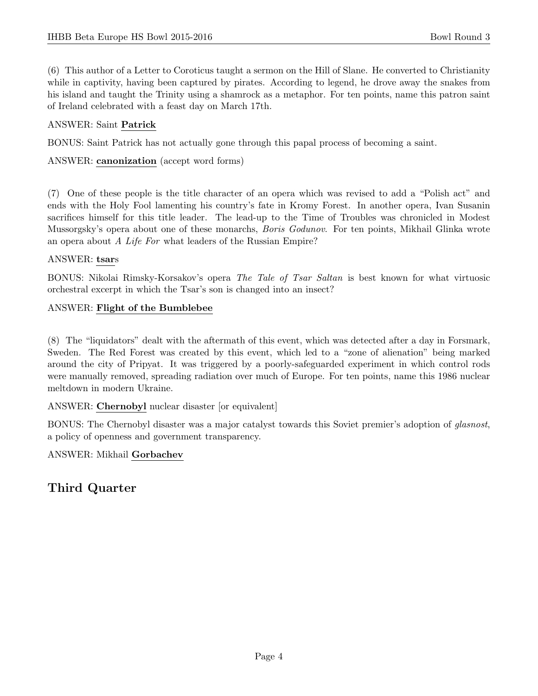(6) This author of a Letter to Coroticus taught a sermon on the Hill of Slane. He converted to Christianity while in captivity, having been captured by pirates. According to legend, he drove away the snakes from his island and taught the Trinity using a shamrock as a metaphor. For ten points, name this patron saint of Ireland celebrated with a feast day on March 17th.

## ANSWER: Saint Patrick

BONUS: Saint Patrick has not actually gone through this papal process of becoming a saint.

ANSWER: canonization (accept word forms)

(7) One of these people is the title character of an opera which was revised to add a "Polish act" and ends with the Holy Fool lamenting his country's fate in Kromy Forest. In another opera, Ivan Susanin sacrifices himself for this title leader. The lead-up to the Time of Troubles was chronicled in Modest Mussorgsky's opera about one of these monarchs, *Boris Godunov*. For ten points, Mikhail Glinka wrote an opera about A Life For what leaders of the Russian Empire?

## ANSWER: tsars

BONUS: Nikolai Rimsky-Korsakov's opera The Tale of Tsar Saltan is best known for what virtuosic orchestral excerpt in which the Tsar's son is changed into an insect?

## ANSWER: Flight of the Bumblebee

(8) The "liquidators" dealt with the aftermath of this event, which was detected after a day in Forsmark, Sweden. The Red Forest was created by this event, which led to a "zone of alienation" being marked around the city of Pripyat. It was triggered by a poorly-safeguarded experiment in which control rods were manually removed, spreading radiation over much of Europe. For ten points, name this 1986 nuclear meltdown in modern Ukraine.

ANSWER: Chernobyl nuclear disaster [or equivalent]

BONUS: The Chernobyl disaster was a major catalyst towards this Soviet premier's adoption of glasnost, a policy of openness and government transparency.

## ANSWER: Mikhail Gorbachev

# Third Quarter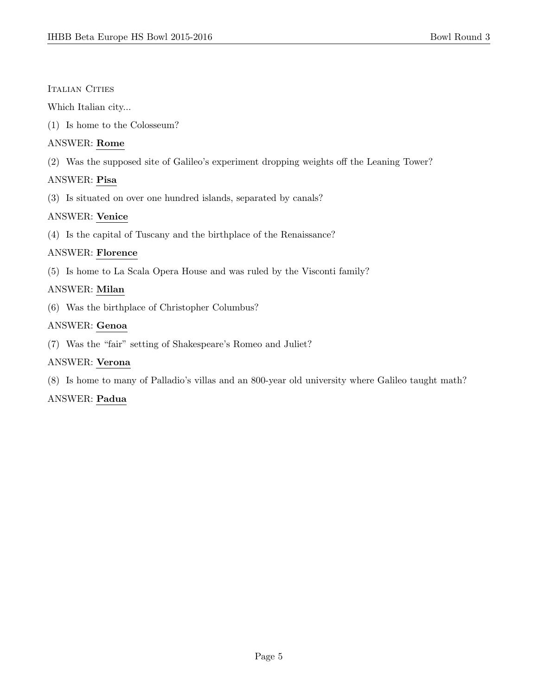#### Italian Cities

Which Italian city...

(1) Is home to the Colosseum?

## ANSWER: Rome

(2) Was the supposed site of Galileo's experiment dropping weights off the Leaning Tower?

## ANSWER: Pisa

(3) Is situated on over one hundred islands, separated by canals?

## ANSWER: Venice

(4) Is the capital of Tuscany and the birthplace of the Renaissance?

## ANSWER: Florence

(5) Is home to La Scala Opera House and was ruled by the Visconti family?

## ANSWER: Milan

(6) Was the birthplace of Christopher Columbus?

## ANSWER: Genoa

(7) Was the "fair" setting of Shakespeare's Romeo and Juliet?

## ANSWER: Verona

(8) Is home to many of Palladio's villas and an 800-year old university where Galileo taught math?

## ANSWER: Padua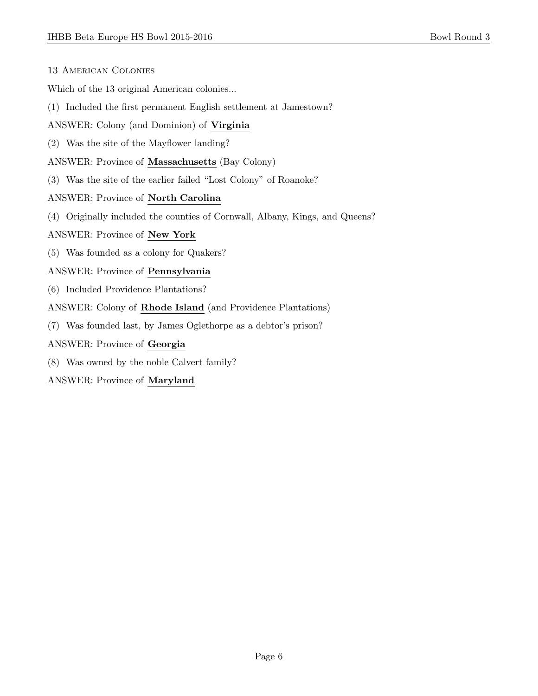| <b>13 AMERICAN COLONIES</b> |  |
|-----------------------------|--|
|-----------------------------|--|

Which of the 13 original American colonies...

- (1) Included the first permanent English settlement at Jamestown?
- ANSWER: Colony (and Dominion) of Virginia
- (2) Was the site of the Mayflower landing?
- ANSWER: Province of Massachusetts (Bay Colony)
- (3) Was the site of the earlier failed "Lost Colony" of Roanoke?

#### ANSWER: Province of North Carolina

(4) Originally included the counties of Cornwall, Albany, Kings, and Queens?

#### ANSWER: Province of New York

(5) Was founded as a colony for Quakers?

#### ANSWER: Province of Pennsylvania

- (6) Included Providence Plantations?
- ANSWER: Colony of Rhode Island (and Providence Plantations)
- (7) Was founded last, by James Oglethorpe as a debtor's prison?
- ANSWER: Province of Georgia
- (8) Was owned by the noble Calvert family?

ANSWER: Province of Maryland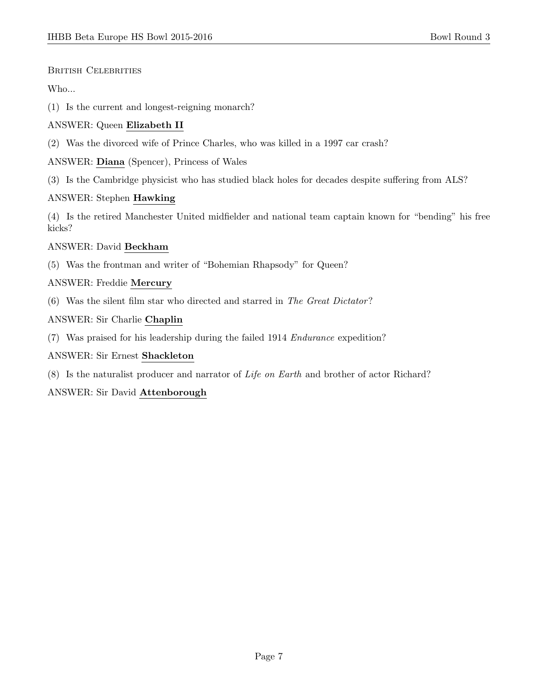## British Celebrities

## Who...

(1) Is the current and longest-reigning monarch?

## ANSWER: Queen Elizabeth II

(2) Was the divorced wife of Prince Charles, who was killed in a 1997 car crash?

ANSWER: Diana (Spencer), Princess of Wales

(3) Is the Cambridge physicist who has studied black holes for decades despite suffering from ALS?

## ANSWER: Stephen Hawking

(4) Is the retired Manchester United midfielder and national team captain known for "bending" his free kicks?

## ANSWER: David Beckham

(5) Was the frontman and writer of "Bohemian Rhapsody" for Queen?

## ANSWER: Freddie Mercury

(6) Was the silent film star who directed and starred in The Great Dictator?

## ANSWER: Sir Charlie Chaplin

(7) Was praised for his leadership during the failed 1914 Endurance expedition?

## ANSWER: Sir Ernest Shackleton

(8) Is the naturalist producer and narrator of Life on Earth and brother of actor Richard?

## ANSWER: Sir David Attenborough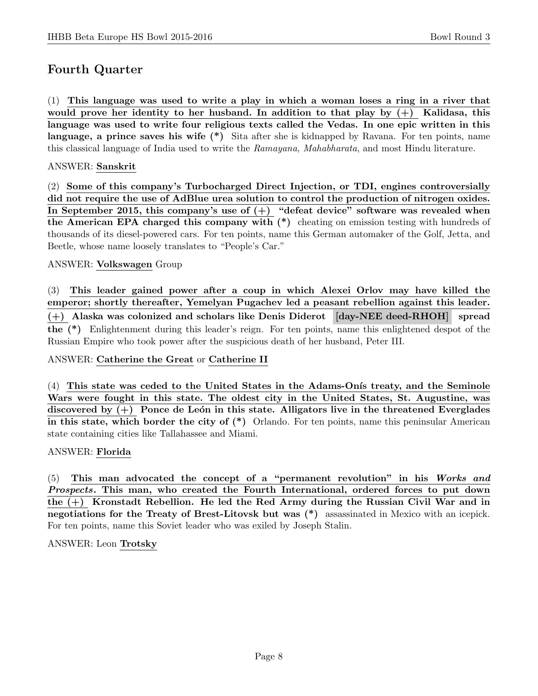## Fourth Quarter

(1) This language was used to write a play in which a woman loses a ring in a river that would prove her identity to her husband. In addition to that play by  $(+)$  Kalidasa, this language was used to write four religious texts called the Vedas. In one epic written in this language, a prince saves his wife (\*) Sita after she is kidnapped by Ravana. For ten points, name this classical language of India used to write the Ramayana, Mahabharata, and most Hindu literature.

#### ANSWER: Sanskrit

(2) Some of this company's Turbocharged Direct Injection, or TDI, engines controversially did not require the use of AdBlue urea solution to control the production of nitrogen oxides. In September 2015, this company's use of  $(+)$  "defeat device" software was revealed when the American EPA charged this company with (\*) cheating on emission testing with hundreds of thousands of its diesel-powered cars. For ten points, name this German automaker of the Golf, Jetta, and Beetle, whose name loosely translates to "People's Car."

#### ANSWER: Volkswagen Group

(3) This leader gained power after a coup in which Alexei Orlov may have killed the emperor; shortly thereafter, Yemelyan Pugachev led a peasant rebellion against this leader. (+) Alaska was colonized and scholars like Denis Diderot [day-NEE deed-RHOH] spread the (\*) Enlightenment during this leader's reign. For ten points, name this enlightened despot of the Russian Empire who took power after the suspicious death of her husband, Peter III.

#### ANSWER: Catherine the Great or Catherine II

 $(4)$  This state was ceded to the United States in the Adams-Onis treaty, and the Seminole Wars were fought in this state. The oldest city in the United States, St. Augustine, was discovered by  $(+)$  Ponce de León in this state. Alligators live in the threatened Everglades in this state, which border the city of  $(*)$  Orlando. For ten points, name this peninsular American state containing cities like Tallahassee and Miami.

## ANSWER: Florida

(5) This man advocated the concept of a "permanent revolution" in his Works and Prospects. This man, who created the Fourth International, ordered forces to put down the (+) Kronstadt Rebellion. He led the Red Army during the Russian Civil War and in negotiations for the Treaty of Brest-Litovsk but was (\*) assassinated in Mexico with an icepick. For ten points, name this Soviet leader who was exiled by Joseph Stalin.

ANSWER: Leon Trotsky